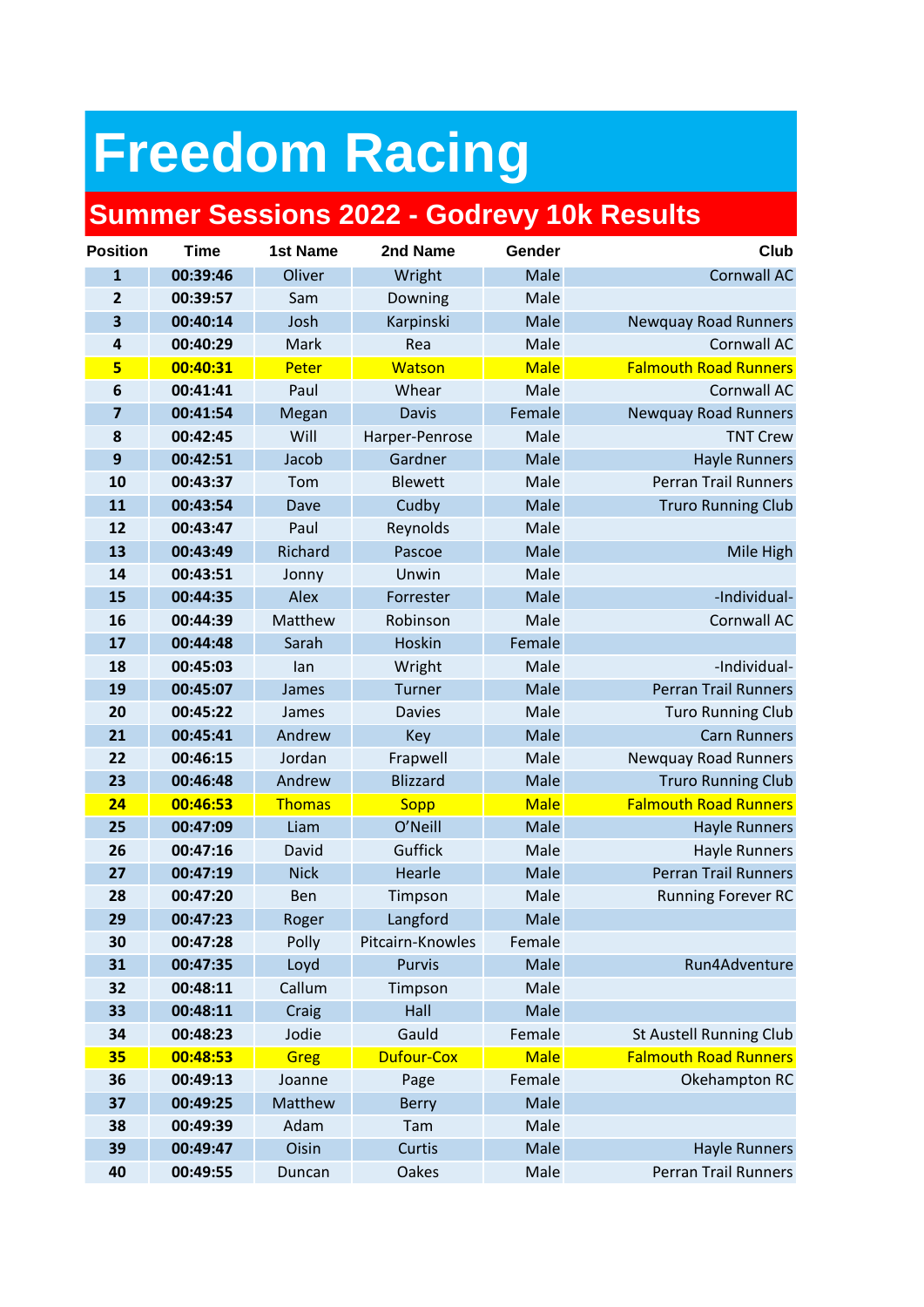## **Freedom Racing**

## **Summer Sessions 2022 - Godrevy 10k Results**

| <b>Position</b>         | <b>Time</b> | <b>1st Name</b> | 2nd Name          | Gender      | Club                           |
|-------------------------|-------------|-----------------|-------------------|-------------|--------------------------------|
| $\overline{1}$          | 00:39:46    | Oliver          | Wright            | Male        | <b>Cornwall AC</b>             |
| $\overline{2}$          | 00:39:57    | Sam             | Downing           | Male        |                                |
| $\overline{\mathbf{3}}$ | 00:40:14    | Josh            | Karpinski         | Male        | <b>Newquay Road Runners</b>    |
| 4                       | 00:40:29    | Mark            | Rea               | Male        | Cornwall AC                    |
| 5                       | 00:40:31    | Peter           | Watson            | <b>Male</b> | <b>Falmouth Road Runners</b>   |
| 6                       | 00:41:41    | Paul            | Whear             | Male        | Cornwall AC                    |
| $\overline{\mathbf{z}}$ | 00:41:54    | Megan           | <b>Davis</b>      | Female      | <b>Newquay Road Runners</b>    |
| 8                       | 00:42:45    | Will            | Harper-Penrose    | Male        | <b>TNT Crew</b>                |
| 9                       | 00:42:51    | Jacob           | Gardner           | Male        | <b>Hayle Runners</b>           |
| 10                      | 00:43:37    | Tom             | <b>Blewett</b>    | Male        | <b>Perran Trail Runners</b>    |
| 11                      | 00:43:54    | Dave            | Cudby             | Male        | <b>Truro Running Club</b>      |
| 12                      | 00:43:47    | Paul            | Reynolds          | Male        |                                |
| 13                      | 00:43:49    | Richard         | Pascoe            | Male        | Mile High                      |
| 14                      | 00:43:51    | Jonny           | Unwin             | Male        |                                |
| 15                      | 00:44:35    | Alex            | Forrester         | Male        | -Individual-                   |
| 16                      | 00:44:39    | Matthew         | Robinson          | Male        | Cornwall AC                    |
| 17                      | 00:44:48    | Sarah           | Hoskin            | Female      |                                |
| 18                      | 00:45:03    | lan             | Wright            | Male        | -Individual-                   |
| 19                      | 00:45:07    | James           | Turner            | Male        | <b>Perran Trail Runners</b>    |
| 20                      | 00:45:22    | James           | <b>Davies</b>     | Male        | <b>Turo Running Club</b>       |
| 21                      | 00:45:41    | Andrew          | Key               | Male        | <b>Carn Runners</b>            |
| 22                      | 00:46:15    | Jordan          | Frapwell          | Male        | <b>Newquay Road Runners</b>    |
| 23                      | 00:46:48    | Andrew          | <b>Blizzard</b>   | Male        | <b>Truro Running Club</b>      |
| 24                      | 00:46:53    | <b>Thomas</b>   | <b>Sopp</b>       | <b>Male</b> | <b>Falmouth Road Runners</b>   |
| 25                      | 00:47:09    | Liam            | O'Neill           | Male        | <b>Hayle Runners</b>           |
| 26                      | 00:47:16    | David           | Guffick           | Male        | <b>Hayle Runners</b>           |
| 27                      | 00:47:19    | <b>Nick</b>     | Hearle            | Male        | <b>Perran Trail Runners</b>    |
| 28                      | 00:47:20    | Ben             | Timpson           | Male        | <b>Running Forever RC</b>      |
| 29                      | 00:47:23    | Roger           | Langford          | Male        |                                |
| 30                      | 00:47:28    | Polly           | Pitcairn-Knowles  | Female      |                                |
| 31                      | 00:47:35    | Loyd            | <b>Purvis</b>     | Male        | Run4Adventure                  |
| 32                      | 00:48:11    | Callum          | Timpson           | Male        |                                |
| 33                      | 00:48:11    | Craig           | Hall              | Male        |                                |
| 34                      | 00:48:23    | Jodie           | Gauld             | Female      | <b>St Austell Running Club</b> |
| 35                      | 00:48:53    | <b>Greg</b>     | <b>Dufour-Cox</b> | <b>Male</b> | <b>Falmouth Road Runners</b>   |
| 36                      | 00:49:13    | Joanne          | Page              | Female      | Okehampton RC                  |
| 37                      | 00:49:25    | Matthew         | <b>Berry</b>      | Male        |                                |
| 38                      | 00:49:39    | Adam            | Tam               | Male        |                                |
| 39                      | 00:49:47    | Oisin           | Curtis            | Male        | <b>Hayle Runners</b>           |
| 40                      | 00:49:55    | Duncan          | Oakes             | Male        | <b>Perran Trail Runners</b>    |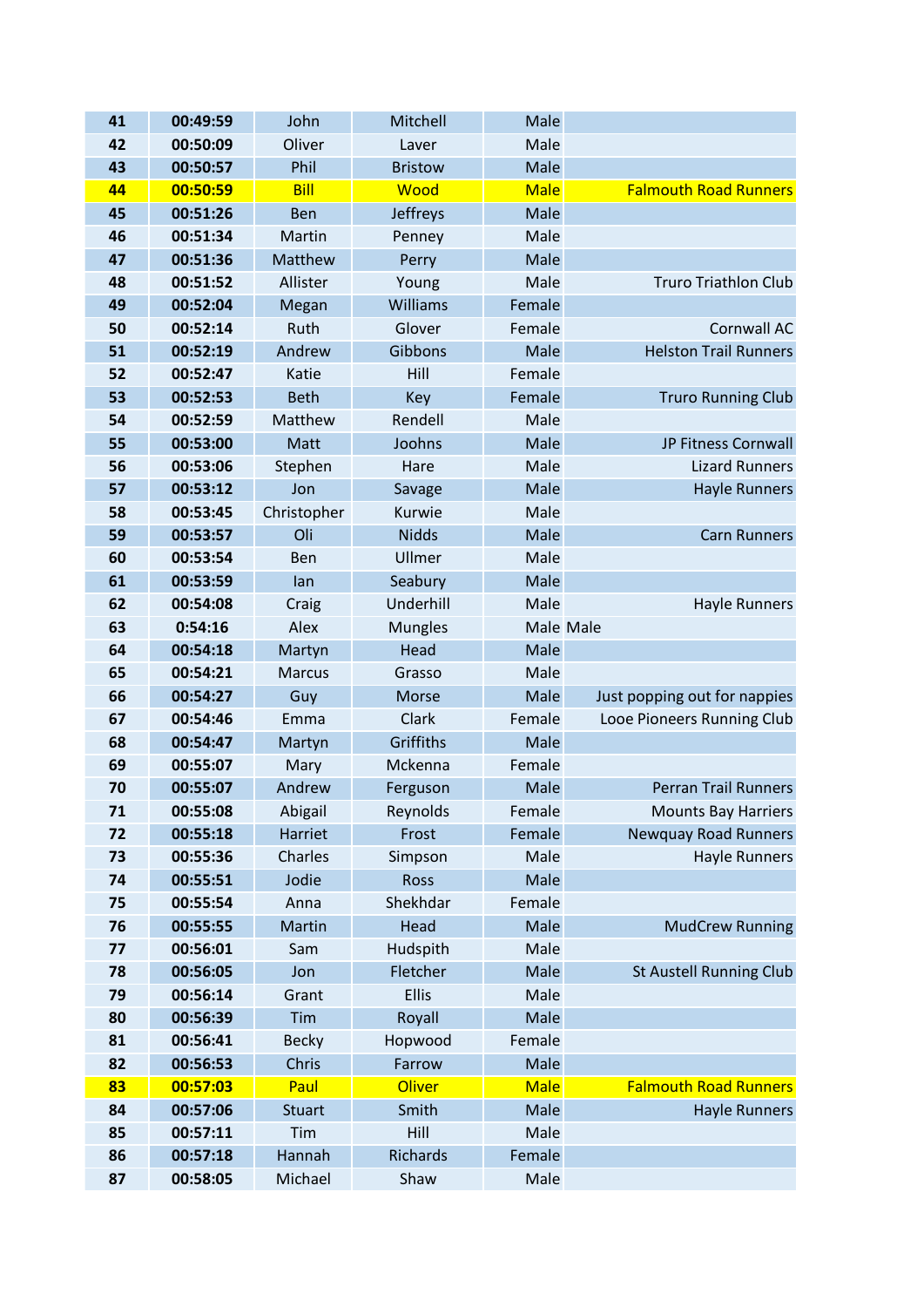| 41       | 00:49:59             | John           | Mitchell             | Male           |                                |
|----------|----------------------|----------------|----------------------|----------------|--------------------------------|
| 42       | 00:50:09             | Oliver         | Laver                | Male           |                                |
| 43       | 00:50:57             | Phil           | <b>Bristow</b>       | Male           |                                |
| 44       | 00:50:59             | <b>Bill</b>    | Wood                 | <b>Male</b>    | <b>Falmouth Road Runners</b>   |
| 45       | 00:51:26             | Ben            | <b>Jeffreys</b>      | Male           |                                |
| 46       | 00:51:34             | Martin         | Penney               | Male           |                                |
| 47       | 00:51:36             | Matthew        | Perry                | Male           |                                |
| 48       | 00:51:52             | Allister       | Young                | Male           | <b>Truro Triathlon Club</b>    |
| 49       | 00:52:04             | Megan          | Williams             | Female         |                                |
| 50       | 00:52:14             | Ruth           | Glover               | Female         | Cornwall AC                    |
| 51       | 00:52:19             | Andrew         | Gibbons              | Male           | <b>Helston Trail Runners</b>   |
| 52       | 00:52:47             | Katie          | Hill                 | Female         |                                |
| 53       | 00:52:53             | <b>Beth</b>    | Key                  | Female         | <b>Truro Running Club</b>      |
| 54       | 00:52:59             | Matthew        | Rendell              | Male           |                                |
| 55       | 00:53:00             | Matt           | Joohns               | Male           | JP Fitness Cornwall            |
| 56       | 00:53:06             | Stephen        | Hare                 | Male           | <b>Lizard Runners</b>          |
| 57       | 00:53:12             | Jon            | Savage               | Male           | <b>Hayle Runners</b>           |
| 58       | 00:53:45             | Christopher    | Kurwie               | Male           |                                |
| 59       | 00:53:57             | Oli            | <b>Nidds</b>         | Male           | <b>Carn Runners</b>            |
| 60       | 00:53:54             | Ben            | Ullmer               | Male           |                                |
| 61       | 00:53:59             | lan            | Seabury              | Male           |                                |
| 62       | 00:54:08             | Craig          | Underhill            | Male           | <b>Hayle Runners</b>           |
| 63       | 0:54:16              | Alex           | <b>Mungles</b>       | Male Male      |                                |
| 64       | 00:54:18             | Martyn         | Head                 | Male           |                                |
| 65       | 00:54:21             | <b>Marcus</b>  | Grasso               | Male           |                                |
| 66       | 00:54:27             | Guy            | Morse                | Male           | Just popping out for nappies   |
| 67<br>68 | 00:54:46<br>00:54:47 | Emma           | Clark<br>Griffiths   | Female<br>Male | Looe Pioneers Running Club     |
| 69       | 00:55:07             | Martyn<br>Mary | Mckenna              | Female         |                                |
| 70       | 00:55:07             | Andrew         | Ferguson             | Male           | <b>Perran Trail Runners</b>    |
| 71       | 00:55:08             | Abigail        | Reynolds             | Female         | <b>Mounts Bay Harriers</b>     |
| 72       | 00:55:18             | Harriet        | Frost                | Female         | <b>Newquay Road Runners</b>    |
| 73       | 00:55:36             | Charles        | Simpson              | Male           | <b>Hayle Runners</b>           |
| 74       | 00:55:51             | Jodie          | <b>Ross</b>          | Male           |                                |
| 75       | 00:55:54             | Anna           | Shekhdar             | Female         |                                |
| 76       | 00:55:55             | Martin         | Head                 | Male           | <b>MudCrew Running</b>         |
| 77       | 00:56:01             |                |                      |                |                                |
| 78       |                      |                |                      | Male           |                                |
|          | 00:56:05             | Sam<br>Jon     | Hudspith<br>Fletcher | Male           | <b>St Austell Running Club</b> |
| 79       | 00:56:14             | Grant          | <b>Ellis</b>         | Male           |                                |
| 80       | 00:56:39             | Tim            | Royall               | Male           |                                |
| 81       | 00:56:41             | <b>Becky</b>   | Hopwood              | Female         |                                |
| 82       | 00:56:53             | Chris          | Farrow               | Male           |                                |
| 83       | 00:57:03             | Paul           | <b>Oliver</b>        | <b>Male</b>    | <b>Falmouth Road Runners</b>   |
| 84       | 00:57:06             | <b>Stuart</b>  | Smith                | Male           | <b>Hayle Runners</b>           |
| 85       | 00:57:11             | Tim            | Hill                 | Male           |                                |
| 86       | 00:57:18             | Hannah         | Richards             | Female         |                                |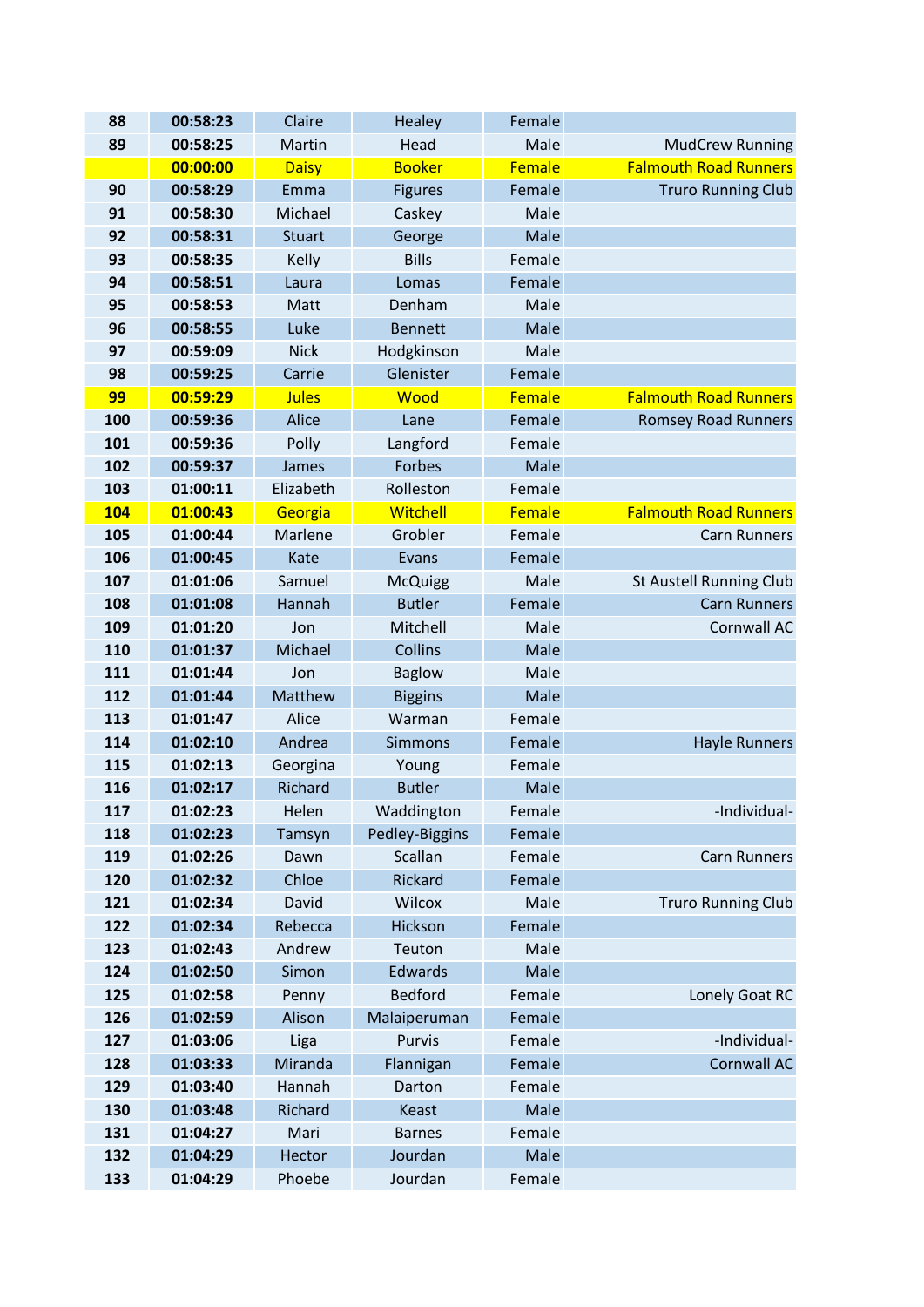| 88         | 00:58:23             | Claire         | Healey            | Female         |                                |
|------------|----------------------|----------------|-------------------|----------------|--------------------------------|
| 89         | 00:58:25             | Martin         | Head              | Male           | <b>MudCrew Running</b>         |
|            | 00:00:00             | <b>Daisy</b>   | <b>Booker</b>     | Female         | <b>Falmouth Road Runners</b>   |
| 90         | 00:58:29             | Emma           | <b>Figures</b>    | Female         | <b>Truro Running Club</b>      |
| 91         | 00:58:30             | Michael        | Caskey            | Male           |                                |
| 92         | 00:58:31             | <b>Stuart</b>  | George            | Male           |                                |
| 93         | 00:58:35             | Kelly          | <b>Bills</b>      | Female         |                                |
| 94         | 00:58:51             | Laura          | Lomas             | Female         |                                |
| 95         | 00:58:53             | Matt           | Denham            | Male           |                                |
| 96         | 00:58:55             | Luke           | <b>Bennett</b>    | Male           |                                |
| 97         | 00:59:09             | <b>Nick</b>    | Hodgkinson        | Male           |                                |
| 98         | 00:59:25             | Carrie         | Glenister         | Female         |                                |
| 99         | 00:59:29             | <b>Jules</b>   | Wood              | Female         | <b>Falmouth Road Runners</b>   |
| 100        | 00:59:36             | Alice          | Lane              | Female         | <b>Romsey Road Runners</b>     |
| 101        | 00:59:36             | Polly          | Langford          | Female         |                                |
| 102        | 00:59:37             | James          | Forbes            | Male           |                                |
| 103        | 01:00:11             | Elizabeth      | Rolleston         | Female         |                                |
| <b>104</b> | 01:00:43             | Georgia        | Witchell          | Female         | <b>Falmouth Road Runners</b>   |
| 105        | 01:00:44             | <b>Marlene</b> | Grobler           | Female         | <b>Carn Runners</b>            |
| 106        | 01:00:45             | Kate           | Evans             | Female         |                                |
| 107        | 01:01:06             | Samuel         | <b>McQuigg</b>    | Male           | <b>St Austell Running Club</b> |
| 108        | 01:01:08             | Hannah         | <b>Butler</b>     | Female         | <b>Carn Runners</b>            |
| 109        | 01:01:20             | Jon            | Mitchell          | Male           | Cornwall AC                    |
| 110        | 01:01:37             | Michael        | Collins           | Male           |                                |
| 111        | 01:01:44             | Jon            | <b>Baglow</b>     | Male           |                                |
| 112        | 01:01:44             | Matthew        | <b>Biggins</b>    | Male           |                                |
| 113        | 01:01:47             | Alice          | Warman            | Female         |                                |
| 114        | 01:02:10             | Andrea         | <b>Simmons</b>    | Female         | <b>Hayle Runners</b>           |
| 115        | 01:02:13             | Georgina       | Young             | Female         |                                |
| 116        | 01:02:17             | Richard        | <b>Butler</b>     | Male           |                                |
| 117        | 01:02:23             | Helen          | Waddington        | Female         | -Individual-                   |
| 118        | 01:02:23             | Tamsyn         | Pedley-Biggins    | Female         |                                |
| 119        | 01:02:26             | Dawn           | Scallan           | Female         | <b>Carn Runners</b>            |
| 120<br>121 | 01:02:32             | Chloe<br>David | Rickard<br>Wilcox | Female<br>Male |                                |
| 122        | 01:02:34<br>01:02:34 | Rebecca        | Hickson           | Female         | <b>Truro Running Club</b>      |
| 123        | 01:02:43             | Andrew         | Teuton            | Male           |                                |
| 124        | 01:02:50             | Simon          | <b>Edwards</b>    | Male           |                                |
| 125        | 01:02:58             | Penny          | <b>Bedford</b>    | Female         | Lonely Goat RC                 |
| 126        | 01:02:59             | Alison         | Malaiperuman      | Female         |                                |
| 127        | 01:03:06             | Liga           | Purvis            | Female         | -Individual-                   |
| 128        | 01:03:33             | Miranda        | Flannigan         | Female         | <b>Cornwall AC</b>             |
| 129        | 01:03:40             | Hannah         | Darton            | Female         |                                |
| 130        | 01:03:48             | Richard        | Keast             | Male           |                                |
| 131        | 01:04:27             | Mari           | <b>Barnes</b>     | Female         |                                |
| 132        | 01:04:29             | Hector         | Jourdan           | Male           |                                |
| 133        | 01:04:29             | Phoebe         | Jourdan           | Female         |                                |
|            |                      |                |                   |                |                                |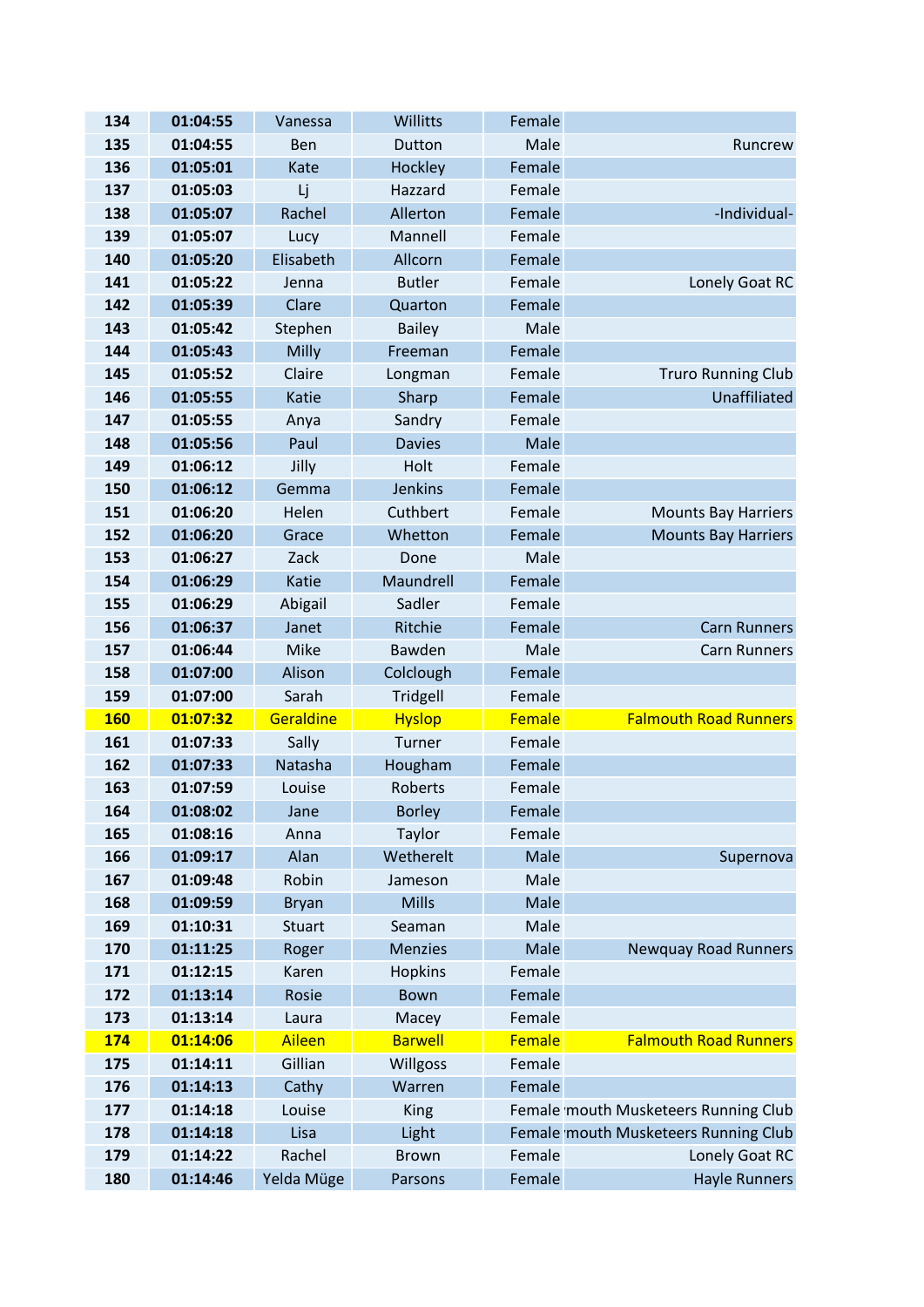| 134        | 01:04:55 | Vanessa       | Willitts        | Female |                                      |
|------------|----------|---------------|-----------------|--------|--------------------------------------|
| 135        | 01:04:55 | <b>Ben</b>    | Dutton          | Male   | Runcrew                              |
| 136        | 01:05:01 | Kate          | Hockley         | Female |                                      |
| 137        | 01:05:03 | Lj            | Hazzard         | Female |                                      |
| 138        | 01:05:07 | Rachel        | Allerton        | Female | -Individual-                         |
| 139        | 01:05:07 | Lucy          | Mannell         | Female |                                      |
| 140        | 01:05:20 | Elisabeth     | Allcorn         | Female |                                      |
| 141        | 01:05:22 | Jenna         | <b>Butler</b>   | Female | Lonely Goat RC                       |
| 142        | 01:05:39 | Clare         | Quarton         | Female |                                      |
| 143        | 01:05:42 | Stephen       | <b>Bailey</b>   | Male   |                                      |
| 144        | 01:05:43 | Milly         | Freeman         | Female |                                      |
| 145        | 01:05:52 | Claire        | Longman         | Female | <b>Truro Running Club</b>            |
| 146        | 01:05:55 | Katie         | Sharp           | Female | Unaffiliated                         |
| 147        | 01:05:55 | Anya          | Sandry          | Female |                                      |
| 148        | 01:05:56 | Paul          | <b>Davies</b>   | Male   |                                      |
| 149        | 01:06:12 | Jilly         | Holt            | Female |                                      |
| 150        | 01:06:12 | Gemma         | <b>Jenkins</b>  | Female |                                      |
| 151        | 01:06:20 | Helen         | Cuthbert        | Female | <b>Mounts Bay Harriers</b>           |
| 152        | 01:06:20 | Grace         | Whetton         | Female | <b>Mounts Bay Harriers</b>           |
| 153        | 01:06:27 | Zack          | Done            | Male   |                                      |
| 154        | 01:06:29 | Katie         | Maundrell       | Female |                                      |
| 155        | 01:06:29 | Abigail       | Sadler          | Female |                                      |
| 156        | 01:06:37 | Janet         | Ritchie         | Female | <b>Carn Runners</b>                  |
| 157        | 01:06:44 | Mike          | Bawden          | Male   | <b>Carn Runners</b>                  |
| 158        | 01:07:00 | Alison        | Colclough       | Female |                                      |
| 159        | 01:07:00 | Sarah         | Tridgell        | Female |                                      |
| <b>160</b> | 01:07:32 | Geraldine     | <b>Hyslop</b>   | Female | <b>Falmouth Road Runners</b>         |
| 161        | 01:07:33 | Sally         | Turner          | Female |                                      |
| 162        | 01:07:33 | Natasha       | Hougham         | Female |                                      |
| 163        | 01:07:59 | Louise        | Roberts         | Female |                                      |
| 164        | 01:08:02 | Jane          | <b>Borley</b>   | Female |                                      |
| 165        | 01:08:16 | Anna          | Taylor          | Female |                                      |
| 166        | 01:09:17 | Alan          | Wetherelt       | Male   | Supernova                            |
| 167        | 01:09:48 | Robin         | Jameson         | Male   |                                      |
| 168        | 01:09:59 | <b>Bryan</b>  | <b>Mills</b>    | Male   |                                      |
| 169        | 01:10:31 | <b>Stuart</b> | Seaman          | Male   |                                      |
| 170        | 01:11:25 | Roger         | <b>Menzies</b>  | Male   | <b>Newquay Road Runners</b>          |
| 171        | 01:12:15 | Karen         | <b>Hopkins</b>  | Female |                                      |
| 172        | 01:13:14 | Rosie         | <b>Bown</b>     | Female |                                      |
| 173        | 01:13:14 | Laura         | Macey           | Female |                                      |
| 174        | 01:14:06 | Aileen        | <b>Barwell</b>  | Female | <b>Falmouth Road Runners</b>         |
| 175        | 01:14:11 | Gillian       | <b>Willgoss</b> | Female |                                      |
| 176        | 01:14:13 | Cathy         | Warren          | Female |                                      |
| 177        | 01:14:18 | Louise        | King            |        | Female mouth Musketeers Running Club |
| 178        | 01:14:18 | Lisa          | Light           |        | Female mouth Musketeers Running Club |
| 179        | 01:14:22 | Rachel        | <b>Brown</b>    | Female | Lonely Goat RC                       |
| 180        | 01:14:46 | Yelda Müge    | Parsons         | Female | <b>Hayle Runners</b>                 |